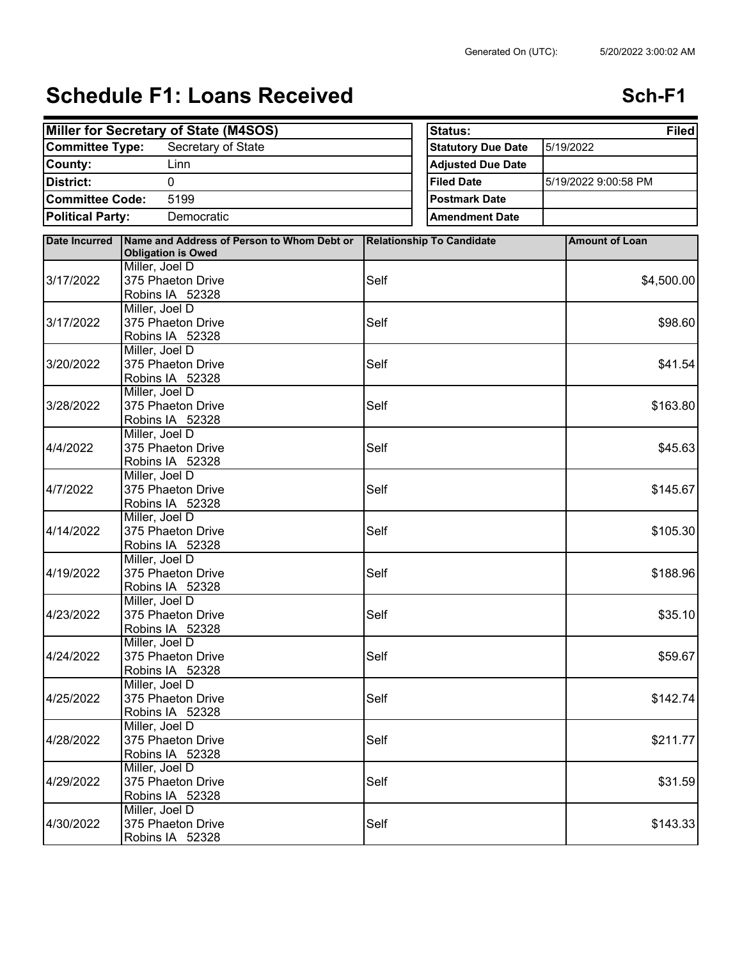## **Schedule F1: Loans Received <b>Schedule F1: Loans Received ScheDule 1**

| Miller for Secretary of State (M4SOS)                           |                                                                         | Status:<br><b>Filed</b>   |                                  |                       |
|-----------------------------------------------------------------|-------------------------------------------------------------------------|---------------------------|----------------------------------|-----------------------|
| <b>Committee Type:</b><br>Secretary of State<br>Linn<br>County: |                                                                         | <b>Statutory Due Date</b> | 5/19/2022                        |                       |
|                                                                 |                                                                         | <b>Adjusted Due Date</b>  |                                  |                       |
| <b>District:</b>                                                | $\Omega$                                                                |                           | <b>Filed Date</b>                | 5/19/2022 9:00:58 PM  |
| <b>Committee Code:</b>                                          | 5199                                                                    |                           | <b>Postmark Date</b>             |                       |
| <b>Political Party:</b><br>Democratic                           |                                                                         |                           | <b>Amendment Date</b>            |                       |
|                                                                 |                                                                         |                           |                                  |                       |
| <b>Date Incurred</b>                                            | Name and Address of Person to Whom Debt or<br><b>Obligation is Owed</b> |                           | <b>Relationship To Candidate</b> | <b>Amount of Loan</b> |
|                                                                 | Miller, Joel D                                                          |                           |                                  |                       |
| 3/17/2022                                                       | 375 Phaeton Drive                                                       | Self                      |                                  | \$4,500.00            |
|                                                                 | Robins IA 52328                                                         |                           |                                  |                       |
| 3/17/2022                                                       | Miller, Joel D                                                          |                           |                                  |                       |
|                                                                 | 375 Phaeton Drive                                                       | Self                      |                                  | \$98.60               |
|                                                                 | Robins IA 52328                                                         |                           |                                  |                       |
|                                                                 | Miller, Joel D                                                          | Self                      |                                  |                       |
| 3/20/2022                                                       | 375 Phaeton Drive<br>Robins IA 52328                                    |                           |                                  | \$41.54               |
|                                                                 | Miller, Joel D                                                          |                           |                                  |                       |
| 3/28/2022                                                       | 375 Phaeton Drive                                                       | Self                      |                                  | \$163.80              |
|                                                                 | Robins IA 52328                                                         |                           |                                  |                       |
|                                                                 | Miller, Joel D                                                          |                           |                                  |                       |
| 4/4/2022                                                        | 375 Phaeton Drive                                                       | Self                      |                                  | \$45.63               |
|                                                                 | Robins IA 52328                                                         |                           |                                  |                       |
|                                                                 | Miller, Joel D                                                          |                           |                                  |                       |
| 4/7/2022                                                        | 375 Phaeton Drive                                                       | Self                      |                                  | \$145.67              |
|                                                                 | Robins IA 52328                                                         |                           |                                  |                       |
|                                                                 | Miller, Joel D                                                          |                           |                                  |                       |
| 4/14/2022                                                       | 375 Phaeton Drive                                                       | Self                      |                                  | \$105.30              |
|                                                                 | Robins IA 52328                                                         |                           |                                  |                       |
| 4/19/2022                                                       | Miller, Joel D<br>375 Phaeton Drive                                     | Self                      |                                  | \$188.96              |
|                                                                 | Robins IA 52328                                                         |                           |                                  |                       |
|                                                                 | Miller, Joel D                                                          |                           |                                  |                       |
| 4/23/2022                                                       | 375 Phaeton Drive                                                       | Self                      |                                  | \$35.10               |
|                                                                 | Robins IA 52328                                                         |                           |                                  |                       |
| 4/24/2022                                                       | Miller, Joel D                                                          |                           |                                  |                       |
|                                                                 | 375 Phaeton Drive                                                       | Self                      |                                  | \$59.67               |
|                                                                 | Robins IA 52328                                                         |                           |                                  |                       |
| 4/25/2022                                                       | Miller, Joel D                                                          |                           |                                  |                       |
|                                                                 | 375 Phaeton Drive                                                       | Self                      |                                  | \$142.74              |
|                                                                 | Robins IA 52328                                                         |                           |                                  |                       |
| 4/28/2022                                                       | Miller, Joel D                                                          |                           |                                  |                       |
|                                                                 | 375 Phaeton Drive                                                       | Self                      |                                  | \$211.77              |
|                                                                 | Robins IA 52328<br>Miller, Joel D                                       |                           |                                  |                       |
| 4/29/2022                                                       | 375 Phaeton Drive                                                       | Self                      |                                  | \$31.59               |
|                                                                 | Robins IA 52328                                                         |                           |                                  |                       |
|                                                                 | Miller, Joel D                                                          |                           |                                  |                       |
| 4/30/2022                                                       | 375 Phaeton Drive                                                       | Self                      |                                  | \$143.33              |
|                                                                 | Robins IA 52328                                                         |                           |                                  |                       |